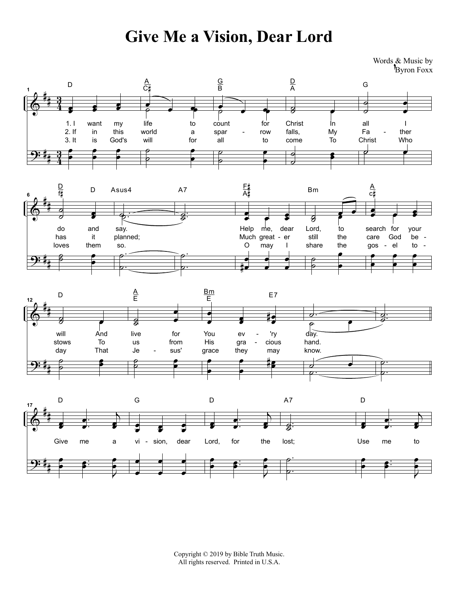## **Give Me a Vision, Dear Lord**

Words & Music by Byron Foxx









Copyright © 2019 by Bible Truth Music. All rights reserved. Printed in U.S.A.